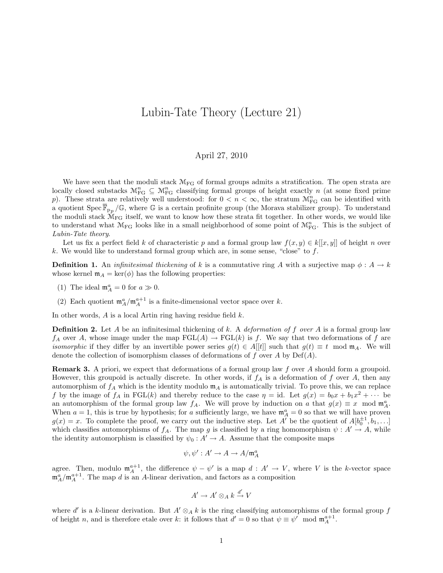## Lubin-Tate Theory (Lecture 21)

## April 27, 2010

We have seen that the moduli stack  $\mathcal{M}_{FG}$  of formal groups admits a stratification. The open strata are locally closed substacks  $\mathcal{M}_{FG}^n \subseteq \mathcal{M}_{FG}^n$  classifying formal groups of height exactly n (at some fixed prime p). These strata are relatively well understood: for  $0 < n < \infty$ , the stratum  $\mathcal{M}_{FG}^n$  can be identified with a quotient Spec  $\overline{\mathbb{F}}_{p_p}/\mathbb{G}$ , where G is a certain profinite group (the Morava stabilizer group). To understand the moduli stack  $\hat{M}_{FG}$  itself, we want to know how these strata fit together. In other words, we would like to understand what  $\mathcal{M}_{FG}$  looks like in a small neighborhood of some point of  $\mathcal{M}_{FG}^n$ . This is the subject of Lubin-Tate theory.

Let us fix a perfect field k of characteristic p and a formal group law  $f(x, y) \in k[[x, y]]$  of height n over k. We would like to understand formal group which are, in some sense, "close" to  $f$ .

**Definition 1.** An *infinitesimal thickening* of k is a commutative ring A with a surjective map  $\phi: A \to k$ whose kernel  $m_A = \text{ker}(\phi)$  has the following properties:

- (1) The ideal  $\mathfrak{m}_A^a = 0$  for  $a \gg 0$ .
- (2) Each quotient  $\mathfrak{m}_A^a / \mathfrak{m}_A^{a+1}$  is a finite-dimensional vector space over k.

In other words,  $A$  is a local Artin ring having residue field  $k$ .

**Definition 2.** Let A be an infinitesimal thickening of k. A *deformation of f over A* is a formal group law  $f_A$  over A, whose image under the map  $FGL(A) \to FGL(k)$  is f. We say that two deformations of f are *isomorphic* if they differ by an invertible power series  $g(t) \in A[[t]]$  such that  $g(t) \equiv t \mod m_A$ . We will denote the collection of isomorphism classes of deformations of f over A by  $Def(A)$ .

Remark 3. A priori, we expect that deformations of a formal group law f over A should form a groupoid. However, this groupoid is actually discrete. In other words, if  $f_A$  is a deformation of f over A, then any automorphism of  $f_A$  which is the identity modulo  $m_A$  is automatically trivial. To prove this, we can replace f by the image of  $f_A$  in FGL(k) and thereby reduce to the case  $\eta = id$ . Let  $g(x) = b_0 x + b_1 x^2 + \cdots$  be an automorphism of the formal group law  $f_A$ . We will prove by induction on a that  $g(x) \equiv x \mod \mathfrak{m}_A^a$ . When  $a = 1$ , this is true by hypothesis; for a sufficiently large, we have  $\mathfrak{m}_A^a = 0$  so that we will have proven  $g(x) = x$ . To complete the proof, we carry out the inductive step. Let A<sup>T</sup> be the quotient of  $A[b_0^{\pm 1}, b_1, \ldots]$ which classifies automorphisms of  $f_A$ . The map g is classified by a ring homomorphism  $\psi : A' \to A$ , while the identity automorphism is classified by  $\psi_0 : A' \to A$ . Assume that the composite maps

$$
\psi, \psi': A' \to A \to A/\mathfrak{m}_A^a
$$

agree. Then, modulo  $\mathfrak{m}_A^{a+1}$ , the difference  $\psi - \psi'$  is a map  $d : A' \to V$ , where V is the k-vector space  $\mathfrak{m}_A^a/\mathfrak{m}_A^{a+1}$ . The map d is an A-linear derivation, and factors as a composition

$$
A' \to A' \otimes_A k \xrightarrow{d'} V
$$

where d' is a k-linear derivation. But  $A' \otimes_A k$  is the ring classifying automorphisms of the formal group f of height n, and is therefore etale over k: it follows that  $d' = 0$  so that  $\psi \equiv \psi' \mod \mathfrak{m}_A^{a+1}$ .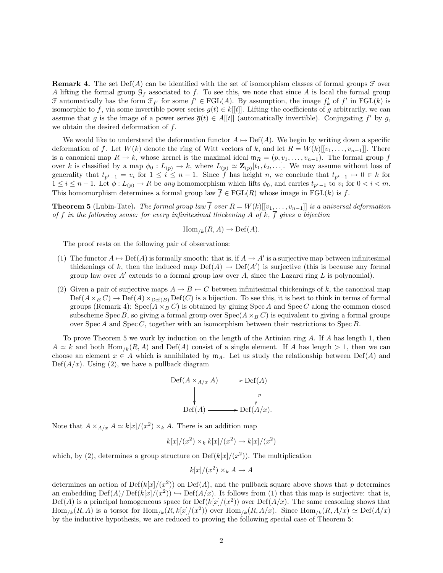**Remark 4.** The set  $Def(A)$  can be identified with the set of isomorphism classes of formal groups  $\mathcal F$  over A lifting the formal group  $\mathcal{G}_f$  associated to f. To see this, we note that since A is local the formal group  $\mathcal F$  automatically has the form  $\mathcal F_{f'}$  for some  $f' \in \mathrm{FGL}(A)$ . By assumption, the image  $f'_k$  of  $f'$  in  $\mathrm{FGL}(k)$  is isomorphic to f, via some invertible power series  $g(t) \in k[[t]]$ . Lifting the coefficients of g arbitrarily, we can assume that g is the image of a power series  $\overline{g}(t) \in A[[t]]$  (automatically invertible). Conjugating f' by g, we obtain the desired deformation of  $f$ .

We would like to understand the deformation functor  $A \mapsto Def(A)$ . We begin by writing down a specific deformation of f. Let  $W(k)$  denote the ring of Witt vectors of k, and let  $R = W(k)[[v_1, \ldots, v_{n-1}]]$ . There is a canonical map  $R \to k$ , whose kernel is the maximal ideal  $\mathfrak{m}_R = (p, v_1, \ldots, v_{n-1})$ . The formal group f over k is classified by a map  $\phi_0: L_{(p)} \to k$ , where  $L_{(p)} \simeq \mathbb{Z}_{(p)}[t_1, t_2, \ldots]$ . We may assume without loss of generality that  $t_{p^i-1} = v_i$  for  $1 \leq i \leq n-1$ . Since f has height n, we conclude that  $t_{p^i-1} \mapsto 0 \in k$  for  $1 \leq i \leq n-1$ . Let  $\phi: L_{(p)} \to R$  be any homomorphism which lifts  $\phi_0$ , and carries  $t_{p^i-1}$  to  $v_i$  for  $0 < i < m$ . This homomorphism determines a formal group law  $\overline{f} \in \text{FGL}(R)$  whose image in  $\text{FGL}(k)$  is f.

**Theorem 5** (Lubin-Tate). The formal group law  $\overline{f}$  over  $R = W(k)[[v_1, \ldots, v_{n-1}]]$  is a universal deformation of f in the following sense: for every infinitesimal thickening A of k,  $\overline{f}$  gives a bijection

$$
Hom_{/k}(R, A) \to Def(A).
$$

The proof rests on the following pair of observations:

- (1) The functor  $A \mapsto \mathrm{Def}(A)$  is formally smooth: that is, if  $A \to A'$  is a surjective map between infinitesimal thickenings of k, then the induced map  $Def(A) \to Def(A')$  is surjective (this is because any formal group law over  $A'$  extends to a formal group law over  $A$ , since the Lazard ring  $L$  is polynomial).
- (2) Given a pair of surjective maps  $A \to B \leftarrow C$  between infinitesimal thickenings of k, the canonical map  $Def(A\times_B C) \to Def(A)\times_{Def(B)} Def(C)$  is a bijection. To see this, it is best to think in terms of formal groups (Remark 4):  $Spec(A \times_B C)$  is obtained by gluing  $Spec A$  and  $Spec C$  along the common closed subscheme Spec B, so giving a formal group over  $Spec(A \times_B C)$  is equivalent to giving a formal groups over Spec A and Spec C, together with an isomorphism between their restrictions to Spec B.

To prove Theorem 5 we work by induction on the length of the Artinian ring A. If A has length 1, then  $A \simeq k$  and both Hom<sub>/k</sub>(R, A) and Def(A) consist of a single element. If A has length  $> 1$ , then we can choose an element  $x \in A$  which is annihilated by  $m_A$ . Let us study the relationship between Def(A) and  $Def(A/x)$ . Using (2), we have a pullback diagram

$$
\text{Def}(A \times_{A/x} A) \longrightarrow \text{Def}(A)
$$
\n
$$
\downarrow \qquad \qquad \downarrow p
$$
\n
$$
\text{Def}(A) \longrightarrow \text{Def}(A/x).
$$

Note that  $A \times_{A/x} A \simeq k[x]/(x^2) \times_k A$ . There is an addition map

$$
k[x]/(x^2) \times_k k[x]/(x^2) \to k[x]/(x^2)
$$

which, by (2), determines a group structure on  $\text{Def}(k[x]/(x^2))$ . The multiplication

$$
k[x]/(x^2) \times_k A \to A
$$

determines an action of  $\mathrm{Def}(k[x]/(x^2))$  on  $\mathrm{Def}(A)$ , and the pullback square above shows that p determines an embedding  $\mathrm{Def}(A)/\mathrm{Def}(k[x]/(x^2)) \hookrightarrow \mathrm{Def}(A/x)$ . It follows from (1) that this map is surjective: that is,  $Def(A)$  is a principal homogeneous space for  $Def(k[x]/(x^2))$  over  $Def(A/x)$ . The same reasoning shows that  $\text{Hom}_{/k}(R, A)$  is a torsor for  $\text{Hom}_{/k}(R, k[x]/(x^2))$  over  $\text{Hom}_{/k}(R, A/x)$ . Since  $\text{Hom}_{/k}(R, A/x) \simeq \text{Def}(A/x)$ by the inductive hypothesis, we are reduced to proving the following special case of Theorem 5: